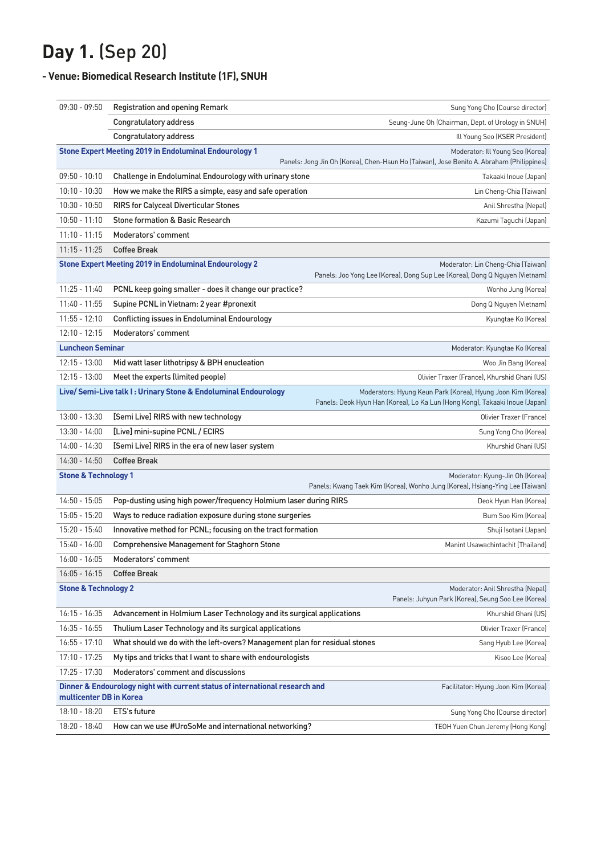## **Day 1.** (Sep 20)

## **- Venue: Biomedical Research Institute (1F), SNUH**

| $09:30 - 09:50$                                                                                                                                                                               | <b>Registration and opening Remark</b>                                     | Sung Yong Cho (Course director)                                                                                                            |  |
|-----------------------------------------------------------------------------------------------------------------------------------------------------------------------------------------------|----------------------------------------------------------------------------|--------------------------------------------------------------------------------------------------------------------------------------------|--|
|                                                                                                                                                                                               | Congratulatory address                                                     | Seung-June Oh (Chairman, Dept. of Urology in SNUH)                                                                                         |  |
|                                                                                                                                                                                               | Congratulatory address                                                     | Ill Young Seo (KSER President)                                                                                                             |  |
| <b>Stone Expert Meeting 2019 in Endoluminal Endourology 1</b><br>Moderator: Ill Young Seo (Korea)<br>Panels: Jong Jin Oh (Korea), Chen-Hsun Ho (Taiwan), Jose Benito A. Abraham (Philippines) |                                                                            |                                                                                                                                            |  |
| $09:50 - 10:10$                                                                                                                                                                               | Challenge in Endoluminal Endourology with urinary stone                    | Takaaki Inoue (Japan)                                                                                                                      |  |
| $10:10 - 10:30$                                                                                                                                                                               | How we make the RIRS a simple, easy and safe operation                     | Lin Cheng-Chia (Taiwan)                                                                                                                    |  |
| $10:30 - 10:50$                                                                                                                                                                               | <b>RIRS for Calyceal Diverticular Stones</b>                               | Anil Shrestha (Nepal)                                                                                                                      |  |
| $10:50 - 11:10$                                                                                                                                                                               | <b>Stone formation &amp; Basic Research</b>                                | Kazumi Taguchi (Japan)                                                                                                                     |  |
| $11:10 - 11:15$                                                                                                                                                                               | Moderators' comment                                                        |                                                                                                                                            |  |
| $11:15 - 11:25$                                                                                                                                                                               | <b>Coffee Break</b>                                                        |                                                                                                                                            |  |
|                                                                                                                                                                                               | <b>Stone Expert Meeting 2019 in Endoluminal Endourology 2</b>              | Moderator: Lin Cheng-Chia (Taiwan)<br>Panels: Joo Yong Lee (Korea), Dong Sup Lee (Korea), Dong Q Nguyen (Vietnam)                          |  |
| $11:25 - 11:40$                                                                                                                                                                               | PCNL keep going smaller - does it change our practice?                     | Wonho Jung (Korea)                                                                                                                         |  |
| $11:40 - 11:55$                                                                                                                                                                               | Supine PCNL in Vietnam: 2 year #pronexit                                   | Dong Q Nguyen (Vietnam)                                                                                                                    |  |
| $11:55 - 12:10$                                                                                                                                                                               | <b>Conflicting issues in Endoluminal Endourology</b>                       | Kyungtae Ko (Korea)                                                                                                                        |  |
| $12:10 - 12:15$                                                                                                                                                                               | Moderators' comment                                                        |                                                                                                                                            |  |
| <b>Luncheon Seminar</b>                                                                                                                                                                       |                                                                            | Moderator: Kyungtae Ko (Korea)                                                                                                             |  |
| $12:15 - 13:00$                                                                                                                                                                               | Mid watt laser lithotripsy & BPH enucleation                               | Woo Jin Bang (Korea)                                                                                                                       |  |
| $12:15 - 13:00$                                                                                                                                                                               | Meet the experts (limited people)                                          | Olivier Traxer (France), Khurshid Ghani (US)                                                                                               |  |
| Live/ Semi-Live talk I: Urinary Stone & Endoluminal Endourology                                                                                                                               |                                                                            | Moderators: Hyung Keun Park (Korea), Hyung Joon Kim (Korea)<br>Panels: Deok Hyun Han (Korea), Lo Ka Lun (Hong Kong), Takaaki Inoue (Japan) |  |
| $13:00 - 13:30$                                                                                                                                                                               | [Semi Live] RIRS with new technology                                       | Olivier Traxer (France)                                                                                                                    |  |
| $13:30 - 14:00$                                                                                                                                                                               | [Live] mini-supine PCNL / ECIRS                                            | Sung Yong Cho (Korea)                                                                                                                      |  |
| $14:00 - 14:30$                                                                                                                                                                               | [Semi Live] RIRS in the era of new laser system                            | Khurshid Ghani (US)                                                                                                                        |  |
| $14:30 - 14:50$                                                                                                                                                                               | <b>Coffee Break</b>                                                        |                                                                                                                                            |  |
| <b>Stone &amp; Technology 1</b><br>Moderator: Kyung-Jin Oh (Korea)<br>Panels: Kwang Taek Kim (Korea), Wonho Jung (Korea), Hsiang-Ying Lee (Taiwan)                                            |                                                                            |                                                                                                                                            |  |
| 14:50 - 15:05                                                                                                                                                                                 | Pop-dusting using high power/frequency Holmium laser during RIRS           | Deok Hyun Han (Korea)                                                                                                                      |  |
| $15:05 - 15:20$                                                                                                                                                                               | Ways to reduce radiation exposure during stone surgeries                   | Bum Soo Kim (Korea)                                                                                                                        |  |
| 15:20 - 15:40                                                                                                                                                                                 | Innovative method for PCNL; focusing on the tract formation                | Shuji Isotani (Japan)                                                                                                                      |  |
| 15:40 - 16:00                                                                                                                                                                                 | <b>Comprehensive Management for Staghorn Stone</b>                         | Manint Usawachintachit (Thailand)                                                                                                          |  |
| $16:00 - 16:05$                                                                                                                                                                               | Moderators' comment                                                        |                                                                                                                                            |  |
| $16:05 - 16:15$                                                                                                                                                                               | <b>Coffee Break</b>                                                        |                                                                                                                                            |  |
| <b>Stone &amp; Technology 2</b><br>Moderator: Anil Shrestha (Nepal)<br>Panels: Juhyun Park (Korea), Seung Soo Lee (Korea)                                                                     |                                                                            |                                                                                                                                            |  |
| $16:15 - 16:35$                                                                                                                                                                               | Advancement in Holmium Laser Technology and its surgical applications      | Khurshid Ghani (US)                                                                                                                        |  |
| $16:35 - 16:55$                                                                                                                                                                               | Thulium Laser Technology and its surgical applications                     | Olivier Traxer (France)                                                                                                                    |  |
| $16:55 - 17:10$                                                                                                                                                                               | What should we do with the left-overs? Management plan for residual stones | Sang Hyub Lee (Korea)                                                                                                                      |  |
| $17:10 - 17:25$                                                                                                                                                                               | My tips and tricks that I want to share with endourologists                | Kisoo Lee (Korea)                                                                                                                          |  |
| 17:25 - 17:30                                                                                                                                                                                 | Moderators' comment and discussions                                        |                                                                                                                                            |  |
| Dinner & Endourology night with current status of international research and<br>Facilitator: Hyung Joon Kim (Korea)<br>multicenter DB in Korea                                                |                                                                            |                                                                                                                                            |  |
| 18:10 - 18:20                                                                                                                                                                                 | ETS's future                                                               | Sung Yong Cho (Course director)                                                                                                            |  |
| 18:20 - 18:40                                                                                                                                                                                 | How can we use #UroSoMe and international networking?                      | TEOH Yuen Chun Jeremy (Hong Kong)                                                                                                          |  |